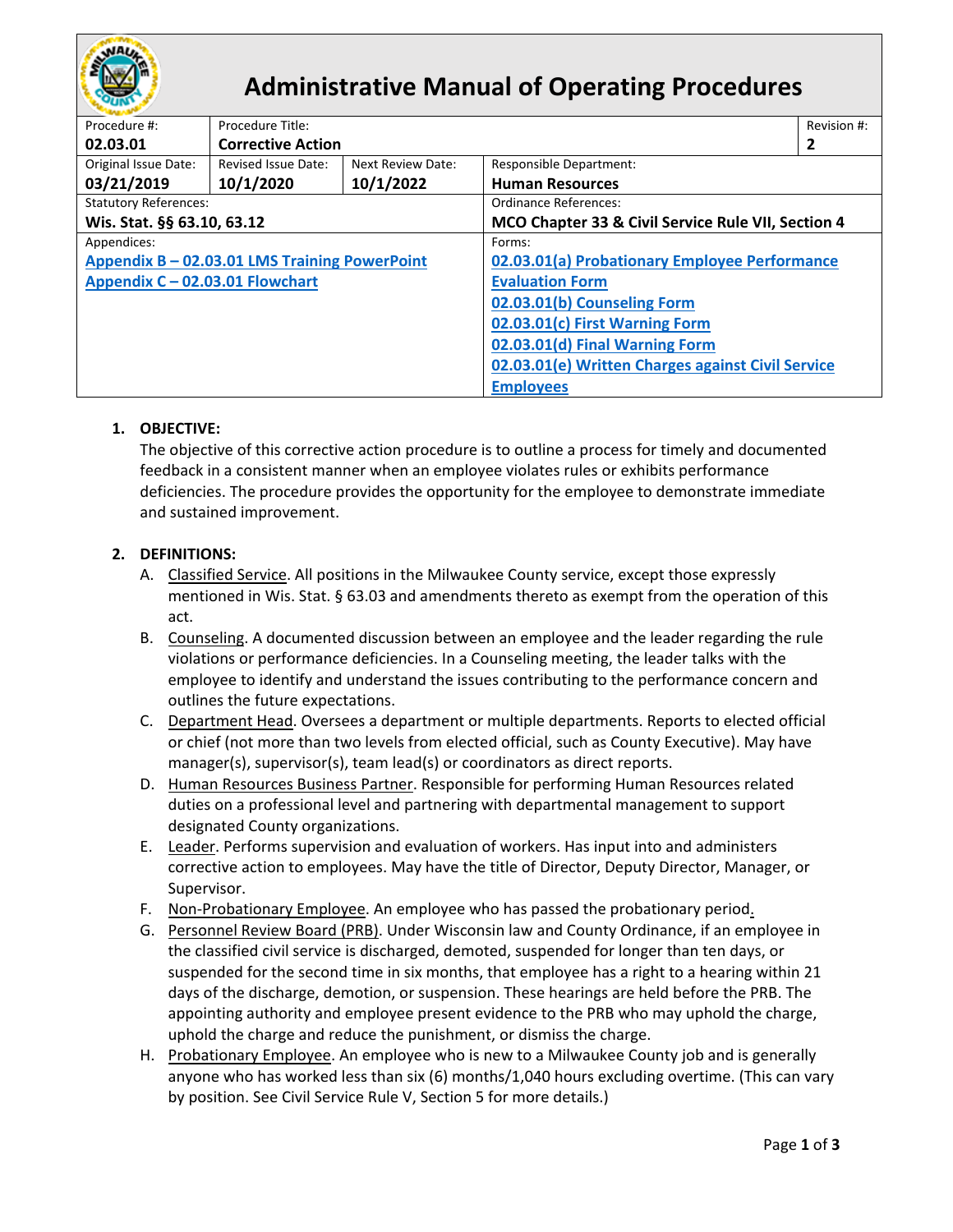

# **Administrative Manual of Operating Procedures**

| Procedure #:                                  | Procedure Title:         |                                                   |                                                    |  |  |
|-----------------------------------------------|--------------------------|---------------------------------------------------|----------------------------------------------------|--|--|
| 02.03.01                                      | <b>Corrective Action</b> |                                                   |                                                    |  |  |
| Original Issue Date:                          | Revised Issue Date:      | Next Review Date:                                 | <b>Responsible Department:</b>                     |  |  |
| 03/21/2019                                    | 10/1/2020                | 10/1/2022                                         | <b>Human Resources</b>                             |  |  |
| <b>Statutory References:</b>                  |                          |                                                   | Ordinance References:                              |  |  |
| Wis. Stat. §§ 63.10, 63.12                    |                          |                                                   | MCO Chapter 33 & Civil Service Rule VII, Section 4 |  |  |
| Appendices:                                   |                          |                                                   | Forms:                                             |  |  |
| Appendix B - 02.03.01 LMS Training PowerPoint |                          |                                                   | 02.03.01(a) Probationary Employee Performance      |  |  |
| Appendix C - 02.03.01 Flowchart               |                          |                                                   | <b>Evaluation Form</b>                             |  |  |
|                                               |                          | 02.03.01(b) Counseling Form                       |                                                    |  |  |
|                                               |                          |                                                   | 02.03.01(c) First Warning Form                     |  |  |
|                                               |                          | 02.03.01(d) Final Warning Form                    |                                                    |  |  |
|                                               |                          | 02.03.01(e) Written Charges against Civil Service |                                                    |  |  |
|                                               |                          | <b>Employees</b>                                  |                                                    |  |  |

## **1. OBJECTIVE:**

The objective of this corrective action procedure is to outline a process for timely and documented feedback in a consistent manner when an employee violates rules or exhibits performance deficiencies. The procedure provides the opportunity for the employee to demonstrate immediate and sustained improvement.

## **2. DEFINITIONS:**

- A. Classified Service. All positions in the Milwaukee County service, except those expressly mentioned in Wis. Stat. § 63.03 and amendments thereto as exempt from the operation of this act.
- B. Counseling. A documented discussion between an employee and the leader regarding the rule violations or performance deficiencies. In a Counseling meeting, the leader talks with the employee to identify and understand the issues contributing to the performance concern and outlines the future expectations.
- C. Department Head. Oversees a department or multiple departments. Reports to elected official or chief (not more than two levels from elected official, such as County Executive). May have manager(s), supervisor(s), team lead(s) or coordinators as direct reports.
- D. Human Resources Business Partner. Responsible for performing Human Resources related duties on a professional level and partnering with departmental management to support designated County organizations.
- E. Leader. Performs supervision and evaluation of workers. Has input into and administers corrective action to employees. May have the title of Director, Deputy Director, Manager, or Supervisor.
- F. Non-Probationary Employee. An employee who has passed the probationary period.
- G. Personnel Review Board (PRB). Under Wisconsin law and County Ordinance, if an employee in the classified civil service is discharged, demoted, suspended for longer than ten days, or suspended for the second time in six months, that employee has a right to a hearing within 21 days of the discharge, demotion, or suspension. These hearings are held before the PRB. The appointing authority and employee present evidence to the PRB who may uphold the charge, uphold the charge and reduce the punishment, or dismiss the charge.
- H. Probationary Employee. An employee who is new to a Milwaukee County job and is generally anyone who has worked less than six (6) months/1,040 hours excluding overtime. (This can vary by position. See Civil Service Rule V, Section 5 for more details.)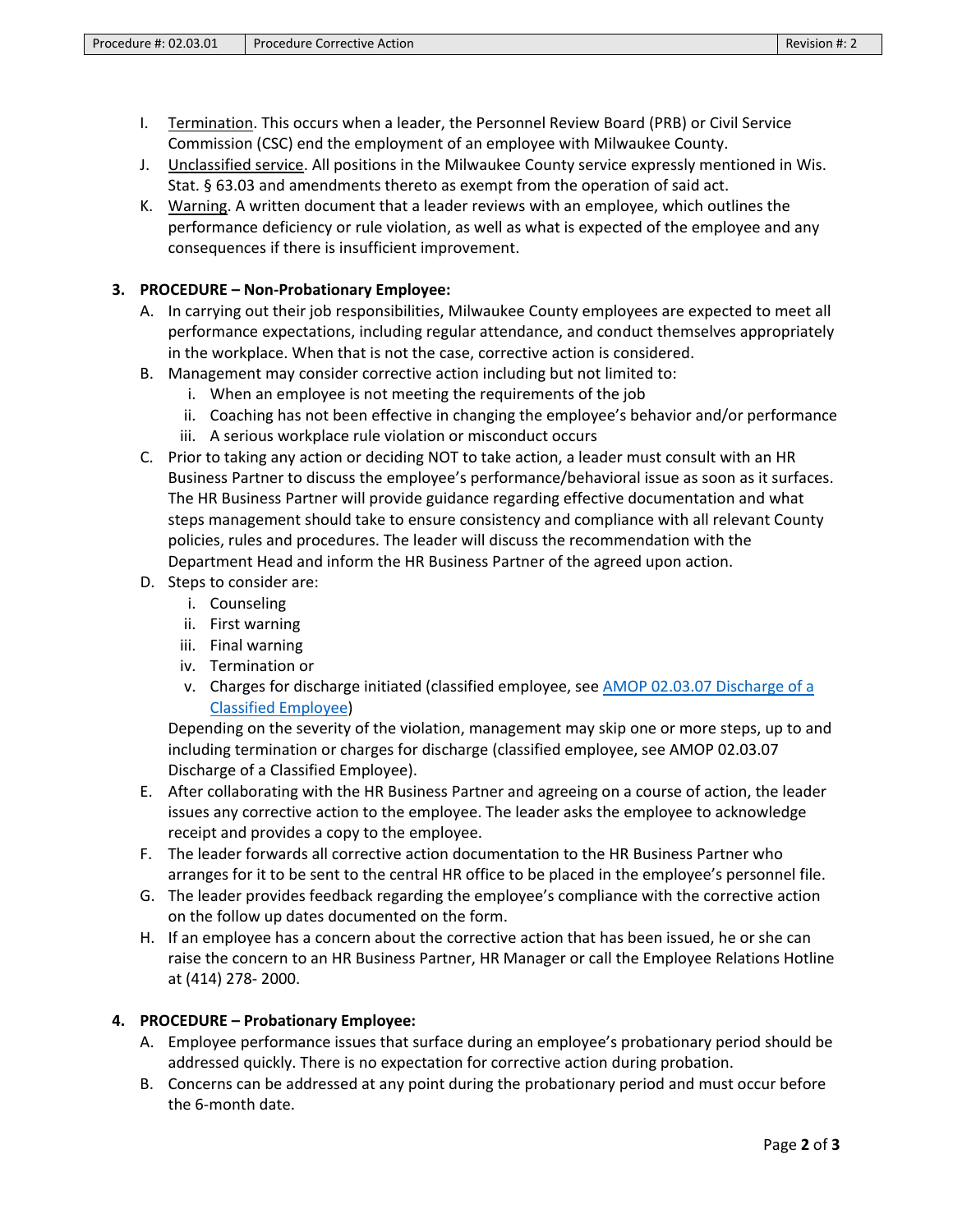- I. Termination. This occurs when a leader, the Personnel Review Board (PRB) or Civil Service Commission (CSC) end the employment of an employee with Milwaukee County.
- J. Unclassified service. All positions in the Milwaukee County service expressly mentioned in Wis. Stat. § 63.03 and amendments thereto as exempt from the operation of said act.
- K. Warning. A written document that a leader reviews with an employee, which outlines the performance deficiency or rule violation, as well as what is expected of the employee and any consequences if there is insufficient improvement.

## **3. PROCEDURE – Non-Probationary Employee:**

- A. In carrying out their job responsibilities, Milwaukee County employees are expected to meet all performance expectations, including regular attendance, and conduct themselves appropriately in the workplace. When that is not the case, corrective action is considered.
- B. Management may consider corrective action including but not limited to:
	- i. When an employee is not meeting the requirements of the job
	- ii. Coaching has not been effective in changing the employee's behavior and/or performance
	- iii. A serious workplace rule violation or misconduct occurs
- C. Prior to taking any action or deciding NOT to take action, a leader must consult with an HR Business Partner to discuss the employee's performance/behavioral issue as soon as it surfaces. The HR Business Partner will provide guidance regarding effective documentation and what steps management should take to ensure consistency and compliance with all relevant County policies, rules and procedures. The leader will discuss the recommendation with the Department Head and inform the HR Business Partner of the agreed upon action.
- D. Steps to consider are:
	- i. Counseling
	- ii. First warning
	- iii. Final warning
	- iv. Termination or
	- v. Charges for discharge initiated (classified employee, see [AMOP 02.03.07 Discharge of a](https://county.milwaukee.gov/files/county/administrative-services/AMOP/Chapter-2-Human-Resources/AppendixA-HRDischargeofClassifiedEmployeeAMOP.pdf)  [Classified Employee\)](https://county.milwaukee.gov/files/county/administrative-services/AMOP/Chapter-2-Human-Resources/AppendixA-HRDischargeofClassifiedEmployeeAMOP.pdf)

Depending on the severity of the violation, management may skip one or more steps, up to and including termination or charges for discharge (classified employee, see AMOP 02.03.07 Discharge of a Classified Employee).

- E. After collaborating with the HR Business Partner and agreeing on a course of action, the leader issues any corrective action to the employee. The leader asks the employee to acknowledge receipt and provides a copy to the employee.
- F. The leader forwards all corrective action documentation to the HR Business Partner who arranges for it to be sent to the central HR office to be placed in the employee's personnel file.
- G. The leader provides feedback regarding the employee's compliance with the corrective action on the follow up dates documented on the form.
- H. If an employee has a concern about the corrective action that has been issued, he or she can raise the concern to an HR Business Partner, HR Manager or call the Employee Relations Hotline at (414) 278- 2000.

## **4. PROCEDURE – Probationary Employee:**

- A. Employee performance issues that surface during an employee's probationary period should be addressed quickly. There is no expectation for corrective action during probation.
- B. Concerns can be addressed at any point during the probationary period and must occur before the 6-month date.